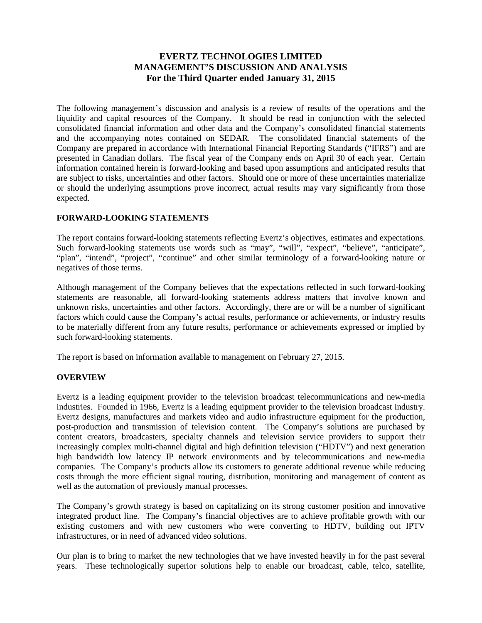# **EVERTZ TECHNOLOGIES LIMITED MANAGEMENT'S DISCUSSION AND ANALYSIS For the Third Quarter ended January 31, 2015**

The following management's discussion and analysis is a review of results of the operations and the liquidity and capital resources of the Company. It should be read in conjunction with the selected consolidated financial information and other data and the Company's consolidated financial statements and the accompanying notes contained on SEDAR. The consolidated financial statements of the Company are prepared in accordance with International Financial Reporting Standards ("IFRS") and are presented in Canadian dollars. The fiscal year of the Company ends on April 30 of each year. Certain information contained herein is forward-looking and based upon assumptions and anticipated results that are subject to risks, uncertainties and other factors. Should one or more of these uncertainties materialize or should the underlying assumptions prove incorrect, actual results may vary significantly from those expected.

## **FORWARD-LOOKING STATEMENTS**

The report contains forward-looking statements reflecting Evertz's objectives, estimates and expectations. Such forward-looking statements use words such as "may", "will", "expect", "believe", "anticipate", "plan", "intend", "project", "continue" and other similar terminology of a forward-looking nature or negatives of those terms.

Although management of the Company believes that the expectations reflected in such forward-looking statements are reasonable, all forward-looking statements address matters that involve known and unknown risks, uncertainties and other factors. Accordingly, there are or will be a number of significant factors which could cause the Company's actual results, performance or achievements, or industry results to be materially different from any future results, performance or achievements expressed or implied by such forward-looking statements.

The report is based on information available to management on February 27, 2015.

## **OVERVIEW**

Evertz is a leading equipment provider to the television broadcast telecommunications and new-media industries. Founded in 1966, Evertz is a leading equipment provider to the television broadcast industry. Evertz designs, manufactures and markets video and audio infrastructure equipment for the production, post-production and transmission of television content. The Company's solutions are purchased by content creators, broadcasters, specialty channels and television service providers to support their increasingly complex multi-channel digital and high definition television ("HDTV") and next generation high bandwidth low latency IP network environments and by telecommunications and new-media companies. The Company's products allow its customers to generate additional revenue while reducing costs through the more efficient signal routing, distribution, monitoring and management of content as well as the automation of previously manual processes.

The Company's growth strategy is based on capitalizing on its strong customer position and innovative integrated product line. The Company's financial objectives are to achieve profitable growth with our existing customers and with new customers who were converting to HDTV, building out IPTV infrastructures, or in need of advanced video solutions.

Our plan is to bring to market the new technologies that we have invested heavily in for the past several years. These technologically superior solutions help to enable our broadcast, cable, telco, satellite,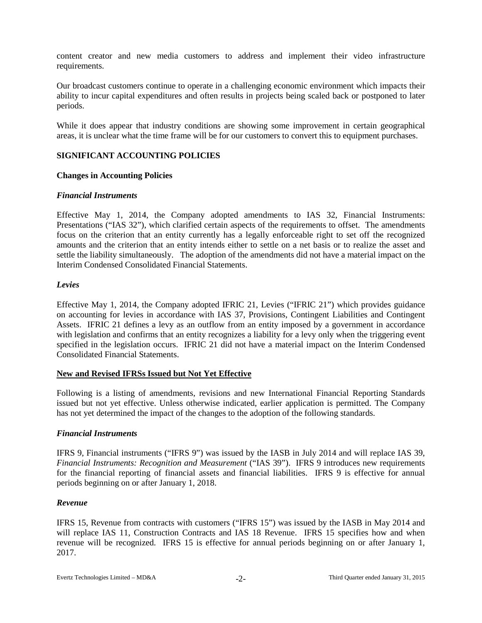content creator and new media customers to address and implement their video infrastructure requirements.

Our broadcast customers continue to operate in a challenging economic environment which impacts their ability to incur capital expenditures and often results in projects being scaled back or postponed to later periods.

While it does appear that industry conditions are showing some improvement in certain geographical areas, it is unclear what the time frame will be for our customers to convert this to equipment purchases.

## **SIGNIFICANT ACCOUNTING POLICIES**

## **Changes in Accounting Policies**

#### *Financial Instruments*

Effective May 1, 2014, the Company adopted amendments to IAS 32, Financial Instruments: Presentations ("IAS 32"), which clarified certain aspects of the requirements to offset. The amendments focus on the criterion that an entity currently has a legally enforceable right to set off the recognized amounts and the criterion that an entity intends either to settle on a net basis or to realize the asset and settle the liability simultaneously. The adoption of the amendments did not have a material impact on the Interim Condensed Consolidated Financial Statements.

#### *Levies*

Effective May 1, 2014, the Company adopted IFRIC 21, Levies ("IFRIC 21") which provides guidance on accounting for levies in accordance with IAS 37, Provisions, Contingent Liabilities and Contingent Assets. IFRIC 21 defines a levy as an outflow from an entity imposed by a government in accordance with legislation and confirms that an entity recognizes a liability for a levy only when the triggering event specified in the legislation occurs. IFRIC 21 did not have a material impact on the Interim Condensed Consolidated Financial Statements.

#### **New and Revised IFRSs Issued but Not Yet Effective**

Following is a listing of amendments, revisions and new International Financial Reporting Standards issued but not yet effective. Unless otherwise indicated, earlier application is permitted. The Company has not yet determined the impact of the changes to the adoption of the following standards.

## *Financial Instruments*

IFRS 9, Financial instruments ("IFRS 9") was issued by the IASB in July 2014 and will replace IAS 39, *Financial Instruments: Recognition and Measurement* ("IAS 39"). IFRS 9 introduces new requirements for the financial reporting of financial assets and financial liabilities. IFRS 9 is effective for annual periods beginning on or after January 1, 2018.

#### *Revenue*

IFRS 15, Revenue from contracts with customers ("IFRS 15") was issued by the IASB in May 2014 and will replace IAS 11, Construction Contracts and IAS 18 Revenue. IFRS 15 specifies how and when revenue will be recognized. IFRS 15 is effective for annual periods beginning on or after January 1, 2017.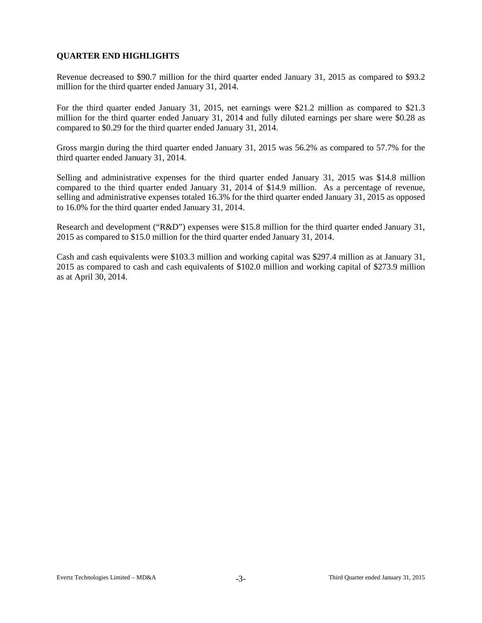## **QUARTER END HIGHLIGHTS**

Revenue decreased to \$90.7 million for the third quarter ended January 31, 2015 as compared to \$93.2 million for the third quarter ended January 31, 2014.

For the third quarter ended January 31, 2015, net earnings were \$21.2 million as compared to \$21.3 million for the third quarter ended January 31, 2014 and fully diluted earnings per share were \$0.28 as compared to \$0.29 for the third quarter ended January 31, 2014.

Gross margin during the third quarter ended January 31, 2015 was 56.2% as compared to 57.7% for the third quarter ended January 31, 2014.

Selling and administrative expenses for the third quarter ended January 31, 2015 was \$14.8 million compared to the third quarter ended January 31, 2014 of \$14.9 million. As a percentage of revenue, selling and administrative expenses totaled 16.3% for the third quarter ended January 31, 2015 as opposed to 16.0% for the third quarter ended January 31, 2014.

Research and development ("R&D") expenses were \$15.8 million for the third quarter ended January 31, 2015 as compared to \$15.0 million for the third quarter ended January 31, 2014.

Cash and cash equivalents were \$103.3 million and working capital was \$297.4 million as at January 31, 2015 as compared to cash and cash equivalents of \$102.0 million and working capital of \$273.9 million as at April 30, 2014.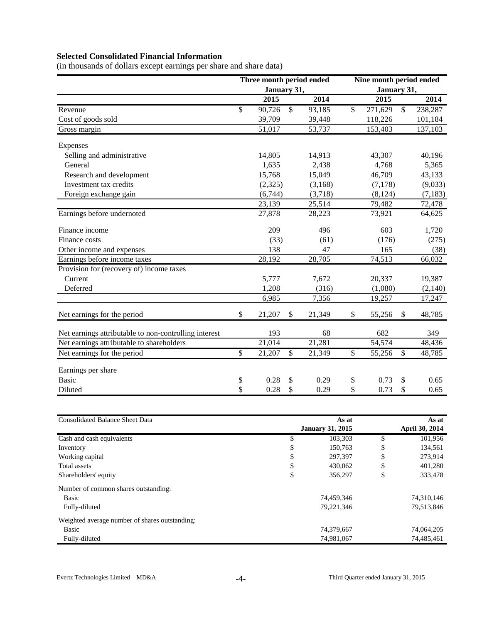# **Selected Consolidated Financial Information**

(in thousands of dollars except earnings per share and share data)

|                                                       | Three month period ended |              |         | Nine month period ended |             |              |          |  |  |  |
|-------------------------------------------------------|--------------------------|--------------|---------|-------------------------|-------------|--------------|----------|--|--|--|
|                                                       | January 31,              |              |         |                         | January 31, |              |          |  |  |  |
|                                                       | $20\overline{15}$        |              | 2014    |                         | 2015        |              | 2014     |  |  |  |
| Revenue                                               | \$<br>90,726             | \$           | 93,185  | \$                      | 271,629     | $\mathbb{S}$ | 238,287  |  |  |  |
| Cost of goods sold                                    | 39,709                   |              | 39,448  |                         | 118,226     |              | 101,184  |  |  |  |
| Gross margin                                          | 51,017                   |              | 53,737  |                         | 153,403     |              | 137,103  |  |  |  |
| Expenses                                              |                          |              |         |                         |             |              |          |  |  |  |
| Selling and administrative                            | 14,805                   |              | 14,913  |                         | 43,307      |              | 40,196   |  |  |  |
| General                                               | 1,635                    |              | 2,438   |                         | 4,768       |              | 5,365    |  |  |  |
| Research and development                              | 15,768                   |              | 15,049  |                         | 46,709      |              | 43,133   |  |  |  |
| Investment tax credits                                | (2,325)                  |              | (3,168) |                         | (7, 178)    |              | (9,033)  |  |  |  |
| Foreign exchange gain                                 | (6,744)                  |              | (3,718) |                         | (8, 124)    |              | (7, 183) |  |  |  |
|                                                       | 23,139                   |              | 25,514  |                         | 79,482      |              | 72,478   |  |  |  |
| Earnings before undernoted                            | 27,878                   |              | 28,223  |                         | 73,921      |              | 64,625   |  |  |  |
| Finance income                                        | 209                      |              | 496     |                         | 603         |              | 1,720    |  |  |  |
| Finance costs                                         | (33)                     |              | (61)    |                         | (176)       |              | (275)    |  |  |  |
| Other income and expenses                             | 138                      |              | 47      |                         | 165         |              | (38)     |  |  |  |
| Earnings before income taxes                          | 28,192                   |              | 28,705  |                         | 74,513      |              | 66,032   |  |  |  |
| Provision for (recovery of) income taxes              |                          |              |         |                         |             |              |          |  |  |  |
| Current                                               | 5,777                    |              | 7,672   |                         | 20,337      |              | 19,387   |  |  |  |
| Deferred                                              | 1,208                    |              | (316)   |                         | (1,080)     |              | (2,140)  |  |  |  |
|                                                       | 6,985                    |              | 7,356   |                         | 19,257      |              | 17,247   |  |  |  |
| Net earnings for the period                           | \$<br>21,207             | S            | 21,349  | \$                      | 55,256      | $\mathbb{S}$ | 48,785   |  |  |  |
| Net earnings attributable to non-controlling interest | 193                      |              | 68      |                         | 682         |              | 349      |  |  |  |
| Net earnings attributable to shareholders             | 21,014                   |              | 21,281  |                         | 54,574      |              | 48,436   |  |  |  |
| Net earnings for the period                           | \$<br>21,207             | $\mathbb{S}$ | 21,349  | \$                      | 55,256      | \$           | 48,785   |  |  |  |
| Earnings per share                                    |                          |              |         |                         |             |              |          |  |  |  |
| <b>Basic</b>                                          | \$<br>0.28               | \$           | 0.29    | \$                      | 0.73        | \$           | 0.65     |  |  |  |
| Diluted                                               | \$<br>0.28               | \$           | 0.29    | \$                      | 0.73        | \$           | 0.65     |  |  |  |
|                                                       |                          |              |         |                         |             |              |          |  |  |  |

| <b>Consolidated Balance Sheet Data</b>         |    | As at                   | As at |                       |  |  |
|------------------------------------------------|----|-------------------------|-------|-----------------------|--|--|
|                                                |    | <b>January 31, 2015</b> |       | <b>April 30, 2014</b> |  |  |
| Cash and cash equivalents                      | \$ | 103,303                 | \$    | 101,956               |  |  |
| Inventory                                      | D  | 150,763                 | S     | 134,561               |  |  |
| Working capital                                | \$ | 297,397                 | \$    | 273,914               |  |  |
| Total assets                                   | \$ | 430.062                 | \$    | 401,280               |  |  |
| Shareholders' equity                           | D  | 356,297                 | \$    | 333,478               |  |  |
| Number of common shares outstanding:           |    |                         |       |                       |  |  |
| Basic                                          |    | 74,459,346              |       | 74,310,146            |  |  |
| Fully-diluted                                  |    | 79,221,346              |       | 79,513,846            |  |  |
| Weighted average number of shares outstanding: |    |                         |       |                       |  |  |
| Basic                                          |    | 74,379,667              |       | 74,064,205            |  |  |
| Fully-diluted                                  |    | 74,981,067              |       | 74,485,461            |  |  |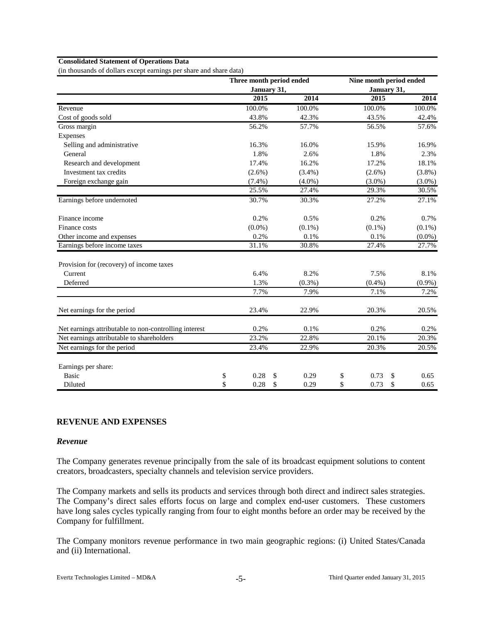#### **Consolidated Statement of Operations Data**

(in thousands of dollars except earnings per share and share data)

|                                                       |            |             | Three month period ended | Nine month period ended |            |
|-------------------------------------------------------|------------|-------------|--------------------------|-------------------------|------------|
|                                                       |            | January 31, |                          | January 31,             |            |
|                                                       | 2015       |             | 2014                     | 2015                    | 2014       |
| Revenue                                               | 100.0%     |             | 100.0%                   | 100.0%                  | 100.0%     |
| Cost of goods sold                                    | 43.8%      |             | 42.3%                    | 43.5%                   | 42.4%      |
| Gross margin                                          | 56.2%      |             | 57.7%                    | 56.5%                   | 57.6%      |
| Expenses                                              |            |             |                          |                         |            |
| Selling and administrative                            | 16.3%      |             | 16.0%                    | 15.9%                   | 16.9%      |
| General                                               | 1.8%       |             | 2.6%                     | 1.8%                    | 2.3%       |
| Research and development                              | 17.4%      |             | 16.2%                    | 17.2%                   | 18.1%      |
| Investment tax credits                                | $(2.6\%)$  |             | $(3.4\%)$                | $(2.6\%)$               | $(3.8\%)$  |
| Foreign exchange gain                                 | $(7.4\%)$  |             | $(4.0\%)$                | $(3.0\%)$               | $(3.0\%)$  |
|                                                       | 25.5%      |             | 27.4%                    | 29.3%                   | 30.5%      |
| Earnings before undernoted                            | 30.7%      |             | 30.3%                    | 27.2%                   | 27.1%      |
| Finance income                                        | 0.2%       |             | 0.5%                     | 0.2%                    | 0.7%       |
| Finance costs                                         | $(0.0\%)$  |             | $(0.1\%)$                | $(0.1\%)$               | $(0.1\%)$  |
| Other income and expenses                             | 0.2%       |             | 0.1%                     | 0.1%                    | $(0.0\%)$  |
| Earnings before income taxes                          | 31.1%      |             | 30.8%                    | 27.4%                   | 27.7%      |
| Provision for (recovery) of income taxes              |            |             |                          |                         |            |
| Current                                               | 6.4%       |             | 8.2%                     | 7.5%                    | 8.1%       |
| Deferred                                              | 1.3%       |             | $(0.3\%)$                | $(0.4\%)$               | $(0.9\%)$  |
|                                                       | 7.7%       |             | 7.9%                     | 7.1%                    | 7.2%       |
| Net earnings for the period                           | 23.4%      |             | 22.9%                    | 20.3%                   | 20.5%      |
| Net earnings attributable to non-controlling interest | 0.2%       |             | 0.1%                     | 0.2%                    | 0.2%       |
| Net earnings attributable to shareholders             | 23.2%      |             | 22.8%                    | 20.1%                   | 20.3%      |
| Net earnings for the period                           | 23.4%      |             | 22.9%                    | 20.3%                   | 20.5%      |
| Earnings per share:                                   |            |             |                          |                         |            |
| <b>Basic</b>                                          | \$<br>0.28 | \$          | 0.29                     | \$<br>0.73              | \$<br>0.65 |
| Diluted                                               | \$<br>0.28 | \$          | 0.29                     | \$<br>0.73              | \$<br>0.65 |

# **REVENUE AND EXPENSES**

#### *Revenue*

The Company generates revenue principally from the sale of its broadcast equipment solutions to content creators, broadcasters, specialty channels and television service providers.

The Company markets and sells its products and services through both direct and indirect sales strategies. The Company's direct sales efforts focus on large and complex end-user customers. These customers have long sales cycles typically ranging from four to eight months before an order may be received by the Company for fulfillment.

The Company monitors revenue performance in two main geographic regions: (i) United States/Canada and (ii) International.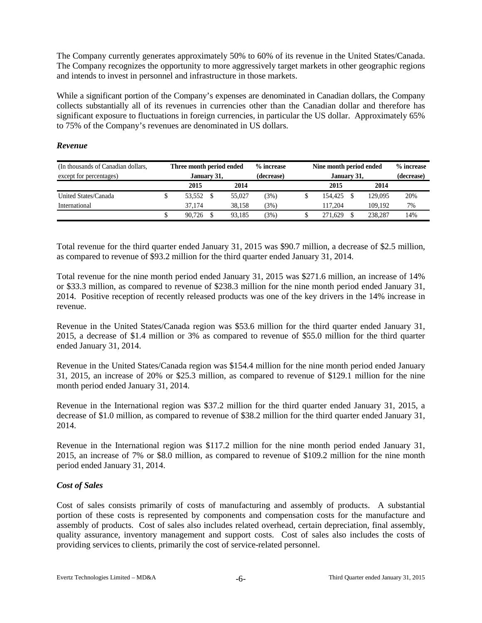The Company currently generates approximately 50% to 60% of its revenue in the United States/Canada. The Company recognizes the opportunity to more aggressively target markets in other geographic regions and intends to invest in personnel and infrastructure in those markets.

While a significant portion of the Company's expenses are denominated in Canadian dollars, the Company collects substantially all of its revenues in currencies other than the Canadian dollar and therefore has significant exposure to fluctuations in foreign currencies, in particular the US dollar. Approximately 65% to 75% of the Company's revenues are denominated in US dollars.

| (In thousands of Canadian dollars, | Three month period ended |  |        | % increase | Nine month period ended |            | % increase |
|------------------------------------|--------------------------|--|--------|------------|-------------------------|------------|------------|
| except for percentages)            | January 31,              |  |        | (decrease) | January 31,             | (decrease) |            |
|                                    | 2015                     |  | 2014   |            | 2015                    | 2014       |            |
| United States/Canada               | 53.552                   |  | 55,027 | (3%)       | 154,425                 | 129,095    | 20%        |
| International                      | 37.174                   |  | 38.158 | (3%)       | 117.204                 | 109.192    | 7%         |
|                                    | 90.726                   |  | 93.185 | $3\%)$     | 271.629                 | 238,287    | 14%        |

#### *Revenue*

Total revenue for the third quarter ended January 31, 2015 was \$90.7 million, a decrease of \$2.5 million, as compared to revenue of \$93.2 million for the third quarter ended January 31, 2014.

Total revenue for the nine month period ended January 31, 2015 was \$271.6 million, an increase of 14% or \$33.3 million, as compared to revenue of \$238.3 million for the nine month period ended January 31, 2014. Positive reception of recently released products was one of the key drivers in the 14% increase in revenue.

Revenue in the United States/Canada region was \$53.6 million for the third quarter ended January 31, 2015, a decrease of \$1.4 million or 3% as compared to revenue of \$55.0 million for the third quarter ended January 31, 2014.

Revenue in the United States/Canada region was \$154.4 million for the nine month period ended January 31, 2015, an increase of 20% or \$25.3 million, as compared to revenue of \$129.1 million for the nine month period ended January 31, 2014.

Revenue in the International region was \$37.2 million for the third quarter ended January 31, 2015, a decrease of \$1.0 million, as compared to revenue of \$38.2 million for the third quarter ended January 31, 2014.

Revenue in the International region was \$117.2 million for the nine month period ended January 31, 2015, an increase of 7% or \$8.0 million, as compared to revenue of \$109.2 million for the nine month period ended January 31, 2014.

## *Cost of Sales*

Cost of sales consists primarily of costs of manufacturing and assembly of products. A substantial portion of these costs is represented by components and compensation costs for the manufacture and assembly of products. Cost of sales also includes related overhead, certain depreciation, final assembly, quality assurance, inventory management and support costs. Cost of sales also includes the costs of providing services to clients, primarily the cost of service-related personnel.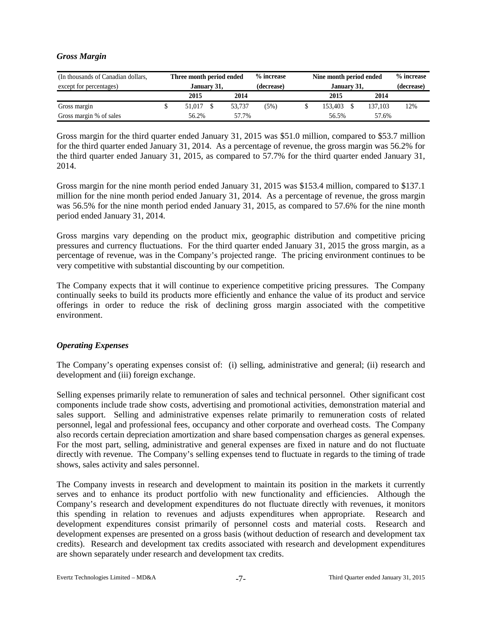## *Gross Margin*

| (In thousands of Canadian dollars, | Three month period ended |  |        | % increase | Nine month period ended |            |         |     |  |  |  |
|------------------------------------|--------------------------|--|--------|------------|-------------------------|------------|---------|-----|--|--|--|
| except for percentages)            | January 31,              |  |        | (decrease) | January 31,             | (decrease) |         |     |  |  |  |
|                                    | 2015                     |  | 2014   |            | 2015                    |            | 2014    |     |  |  |  |
| Gross margin                       | 51.017                   |  | 53.737 | (5%)       | 153.403                 |            | 137.103 | 12% |  |  |  |
| Gross margin % of sales            | 56.2%                    |  | 57.7%  |            | 56.5%                   |            | 57.6%   |     |  |  |  |

Gross margin for the third quarter ended January 31, 2015 was \$51.0 million, compared to \$53.7 million for the third quarter ended January 31, 2014. As a percentage of revenue, the gross margin was 56.2% for the third quarter ended January 31, 2015, as compared to 57.7% for the third quarter ended January 31, 2014.

Gross margin for the nine month period ended January 31, 2015 was \$153.4 million, compared to \$137.1 million for the nine month period ended January 31, 2014. As a percentage of revenue, the gross margin was 56.5% for the nine month period ended January 31, 2015, as compared to 57.6% for the nine month period ended January 31, 2014.

Gross margins vary depending on the product mix, geographic distribution and competitive pricing pressures and currency fluctuations. For the third quarter ended January 31, 2015 the gross margin, as a percentage of revenue, was in the Company's projected range. The pricing environment continues to be very competitive with substantial discounting by our competition.

The Company expects that it will continue to experience competitive pricing pressures. The Company continually seeks to build its products more efficiently and enhance the value of its product and service offerings in order to reduce the risk of declining gross margin associated with the competitive environment.

## *Operating Expenses*

The Company's operating expenses consist of: (i) selling, administrative and general; (ii) research and development and (iii) foreign exchange.

Selling expenses primarily relate to remuneration of sales and technical personnel. Other significant cost components include trade show costs, advertising and promotional activities, demonstration material and sales support. Selling and administrative expenses relate primarily to remuneration costs of related personnel, legal and professional fees, occupancy and other corporate and overhead costs. The Company also records certain depreciation amortization and share based compensation charges as general expenses. For the most part, selling, administrative and general expenses are fixed in nature and do not fluctuate directly with revenue. The Company's selling expenses tend to fluctuate in regards to the timing of trade shows, sales activity and sales personnel.

The Company invests in research and development to maintain its position in the markets it currently serves and to enhance its product portfolio with new functionality and efficiencies. Although the Company's research and development expenditures do not fluctuate directly with revenues, it monitors this spending in relation to revenues and adjusts expenditures when appropriate. Research and development expenditures consist primarily of personnel costs and material costs. Research and development expenses are presented on a gross basis (without deduction of research and development tax credits). Research and development tax credits associated with research and development expenditures are shown separately under research and development tax credits.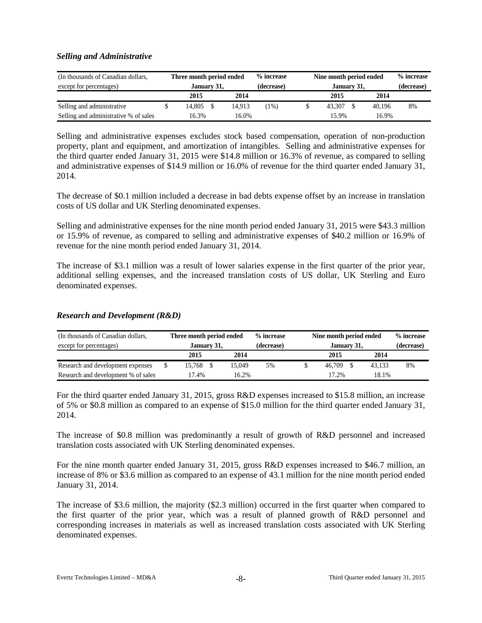#### *Selling and Administrative*

| (In thousands of Canadian dollars,    | Three month period ended |  |        | % increase | Nine month period ended | % increase  |  |        |    |  |  |
|---------------------------------------|--------------------------|--|--------|------------|-------------------------|-------------|--|--------|----|--|--|
| except for percentages)               | January 31,              |  |        | (decrease) |                         | January 31, |  |        |    |  |  |
|                                       | 2015                     |  | 2014   |            |                         | 2015        |  | 2014   |    |  |  |
| Selling and administrative            | 14.805                   |  | 14.913 | (1%)       |                         | 43.307      |  | 40.196 | 8% |  |  |
| Selling and administrative % of sales | 16.3%                    |  | 16.0%  |            |                         | 15.9%       |  | 16.9%  |    |  |  |

Selling and administrative expenses excludes stock based compensation, operation of non-production property, plant and equipment, and amortization of intangibles. Selling and administrative expenses for the third quarter ended January 31, 2015 were \$14.8 million or 16.3% of revenue, as compared to selling and administrative expenses of \$14.9 million or 16.0% of revenue for the third quarter ended January 31, 2014.

The decrease of \$0.1 million included a decrease in bad debts expense offset by an increase in translation costs of US dollar and UK Sterling denominated expenses.

Selling and administrative expenses for the nine month period ended January 31, 2015 were \$43.3 million or 15.9% of revenue, as compared to selling and administrative expenses of \$40.2 million or 16.9% of revenue for the nine month period ended January 31, 2014.

The increase of \$3.1 million was a result of lower salaries expense in the first quarter of the prior year, additional selling expenses, and the increased translation costs of US dollar, UK Sterling and Euro denominated expenses.

#### *Research and Development (R&D)*

| (In thousands of Canadian dollars,  | Three month period ended |              |  |        | % increase | Nine month period ended |      |        |    |  |  |
|-------------------------------------|--------------------------|--------------|--|--------|------------|-------------------------|------|--------|----|--|--|
| except for percentages)             | January 31.              |              |  |        | (decrease) | January 31,             |      |        |    |  |  |
|                                     |                          | 2015<br>2014 |  |        |            | 2015                    | 2014 |        |    |  |  |
| Research and development expenses   |                          | 15.768       |  | 15.049 | 5%         | 46.709                  |      | 43.133 | 8% |  |  |
| Research and development % of sales |                          | 17.4%        |  | 16.2%  |            | 17.2%                   |      | 18.1%  |    |  |  |

For the third quarter ended January 31, 2015, gross R&D expenses increased to \$15.8 million, an increase of 5% or \$0.8 million as compared to an expense of \$15.0 million for the third quarter ended January 31, 2014.

The increase of \$0.8 million was predominantly a result of growth of R&D personnel and increased translation costs associated with UK Sterling denominated expenses.

For the nine month quarter ended January 31, 2015, gross R&D expenses increased to \$46.7 million, an increase of 8% or \$3.6 million as compared to an expense of 43.1 million for the nine month period ended January 31, 2014.

The increase of \$3.6 million, the majority (\$2.3 million) occurred in the first quarter when compared to the first quarter of the prior year, which was a result of planned growth of R&D personnel and corresponding increases in materials as well as increased translation costs associated with UK Sterling denominated expenses.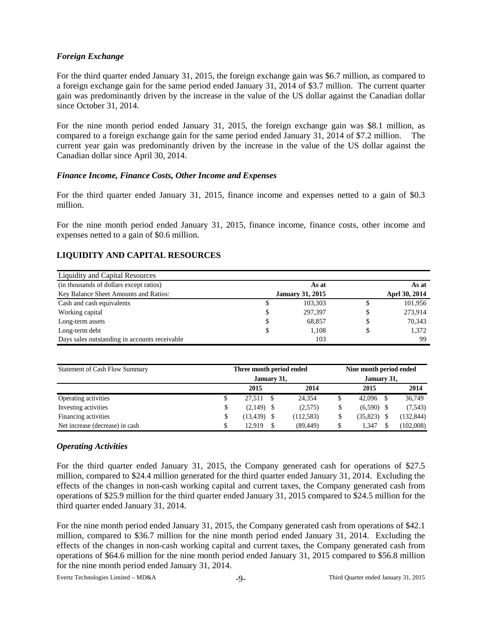## *Foreign Exchange*

For the third quarter ended January 31, 2015, the foreign exchange gain was \$6.7 million, as compared to a foreign exchange gain for the same period ended January 31, 2014 of \$3.7 million. The current quarter gain was predominantly driven by the increase in the value of the US dollar against the Canadian dollar since October 31, 2014.

For the nine month period ended January 31, 2015, the foreign exchange gain was \$8.1 million, as compared to a foreign exchange gain for the same period ended January 31, 2014 of \$7.2 million. The current year gain was predominantly driven by the increase in the value of the US dollar against the Canadian dollar since April 30, 2014.

## *Finance Income, Finance Costs, Other Income and Expenses*

For the third quarter ended January 31, 2015, finance income and expenses netted to a gain of \$0.3 million.

For the nine month period ended January 31, 2015, finance income, finance costs, other income and expenses netted to a gain of \$0.6 million.

# **LIQUIDITY AND CAPITAL RESOURCES**

| Liquidity and Capital Resources               |                         |    |               |
|-----------------------------------------------|-------------------------|----|---------------|
| (in thousands of dollars except ratios)       | As at                   |    | As at         |
| Key Balance Sheet Amounts and Ratios:         | <b>January 31, 2015</b> |    | Aprl 30, 2014 |
| Cash and cash equivalents                     | \$<br>103,303           | \$ | 101,956       |
| Working capital                               | \$<br>297,397           |    | 273.914       |
| Long-term assets                              | \$<br>68,857            | S  | 70,343        |
| Long-term debt                                | \$<br>1.108             | S  | 1,372         |
| Days sales outstanding in accounts receivable | 103                     |    | 99            |

| <b>Statement of Cash Flow Summary</b> |   | Three month period ended | Nine month period ended |             |            |  |  |  |
|---------------------------------------|---|--------------------------|-------------------------|-------------|------------|--|--|--|
|                                       |   | January 31,              |                         | January 31, |            |  |  |  |
|                                       |   | 2015                     | 2014                    | 2015        | 2014       |  |  |  |
| Operating activities                  |   | 27.511                   | 24.354                  | 42,096      | 36,749     |  |  |  |
| Investing activities                  | S | $(2,149)$ \$             | (2,575)                 | (6,590)     | (7,543)    |  |  |  |
| Financing activities                  |   | $(13, 439)$ \$           | (112, 583)              | (35, 823)   | (132, 844) |  |  |  |
| Net increase (decrease) in cash       |   | 12.919                   | (89, 449)               | 1.347       | (102,008)  |  |  |  |

## *Operating Activities*

For the third quarter ended January 31, 2015, the Company generated cash for operations of \$27.5 million, compared to \$24.4 million generated for the third quarter ended January 31, 2014. Excluding the effects of the changes in non-cash working capital and current taxes, the Company generated cash from operations of \$25.9 million for the third quarter ended January 31, 2015 compared to \$24.5 million for the third quarter ended January 31, 2014.

For the nine month period ended January 31, 2015, the Company generated cash from operations of \$42.1 million, compared to \$36.7 million for the nine month period ended January 31, 2014. Excluding the effects of the changes in non-cash working capital and current taxes, the Company generated cash from operations of \$64.6 million for the nine month period ended January 31, 2015 compared to \$56.8 million for the nine month period ended January 31, 2014.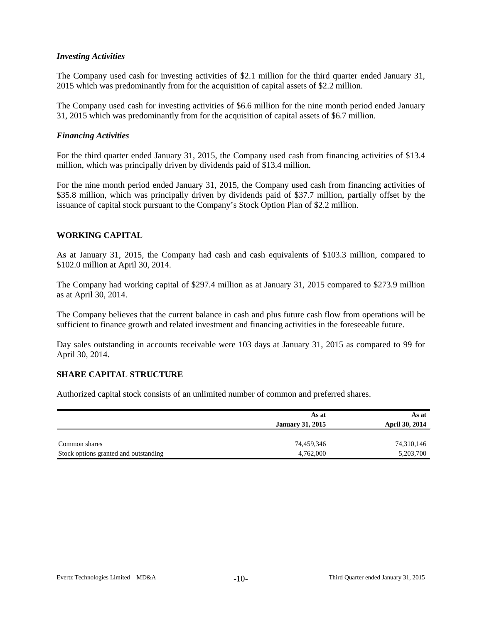#### *Investing Activities*

The Company used cash for investing activities of \$2.1 million for the third quarter ended January 31, 2015 which was predominantly from for the acquisition of capital assets of \$2.2 million.

The Company used cash for investing activities of \$6.6 million for the nine month period ended January 31, 2015 which was predominantly from for the acquisition of capital assets of \$6.7 million.

#### *Financing Activities*

For the third quarter ended January 31, 2015, the Company used cash from financing activities of \$13.4 million, which was principally driven by dividends paid of \$13.4 million.

For the nine month period ended January 31, 2015, the Company used cash from financing activities of \$35.8 million, which was principally driven by dividends paid of \$37.7 million, partially offset by the issuance of capital stock pursuant to the Company's Stock Option Plan of \$2.2 million.

## **WORKING CAPITAL**

As at January 31, 2015, the Company had cash and cash equivalents of \$103.3 million, compared to \$102.0 million at April 30, 2014.

The Company had working capital of \$297.4 million as at January 31, 2015 compared to \$273.9 million as at April 30, 2014.

The Company believes that the current balance in cash and plus future cash flow from operations will be sufficient to finance growth and related investment and financing activities in the foreseeable future.

Day sales outstanding in accounts receivable were 103 days at January 31, 2015 as compared to 99 for April 30, 2014.

## **SHARE CAPITAL STRUCTURE**

Authorized capital stock consists of an unlimited number of common and preferred shares.

|                                       | As at<br><b>January 31, 2015</b> | As at<br><b>April 30, 2014</b> |
|---------------------------------------|----------------------------------|--------------------------------|
| Common shares                         | 74,459,346                       | 74,310,146                     |
| Stock options granted and outstanding | 4,762,000                        | 5,203,700                      |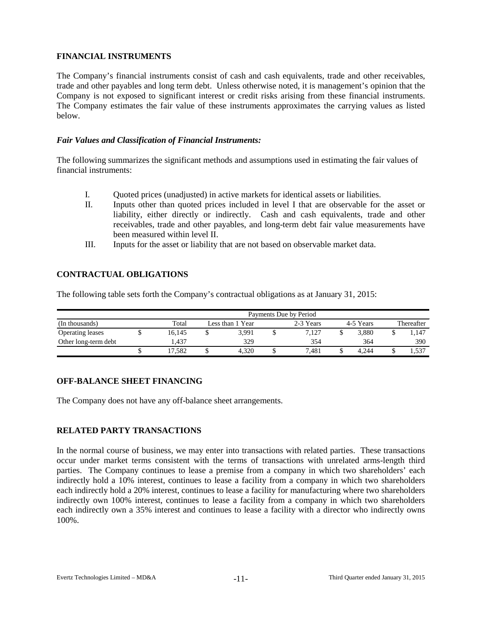## **FINANCIAL INSTRUMENTS**

The Company's financial instruments consist of cash and cash equivalents, trade and other receivables, trade and other payables and long term debt. Unless otherwise noted, it is management's opinion that the Company is not exposed to significant interest or credit risks arising from these financial instruments. The Company estimates the fair value of these instruments approximates the carrying values as listed below.

## *Fair Values and Classification of Financial Instruments:*

The following summarizes the significant methods and assumptions used in estimating the fair values of financial instruments:

- I. Quoted prices (unadjusted) in active markets for identical assets or liabilities.
- II. Inputs other than quoted prices included in level I that are observable for the asset or liability, either directly or indirectly. Cash and cash equivalents, trade and other receivables, trade and other payables, and long-term debt fair value measurements have been measured within level II.
- III. Inputs for the asset or liability that are not based on observable market data.

# **CONTRACTUAL OBLIGATIONS**

The following table sets forth the Company's contractual obligations as at January 31, 2015:

|                      | Payments Due by Period |        |                  |       |  |           |           |            |  |       |  |  |  |  |
|----------------------|------------------------|--------|------------------|-------|--|-----------|-----------|------------|--|-------|--|--|--|--|
| (In thousands)       |                        | Total  | Less than 1 Year |       |  | 2-3 Years | 4-5 Years | Thereafter |  |       |  |  |  |  |
| Operating leases     |                        | 16.145 |                  | 3.991 |  | 7.127     |           | 3.880      |  | 1,147 |  |  |  |  |
| Other long-term debt |                        | 1.437  |                  | 329   |  | 354       |           | 364        |  | 390   |  |  |  |  |
|                      | ഄ                      | 17.582 |                  | 4.320 |  | 7.481     |           | 4.244      |  | 1,537 |  |  |  |  |

# **OFF-BALANCE SHEET FINANCING**

The Company does not have any off-balance sheet arrangements.

# **RELATED PARTY TRANSACTIONS**

In the normal course of business, we may enter into transactions with related parties. These transactions occur under market terms consistent with the terms of transactions with unrelated arms-length third parties. The Company continues to lease a premise from a company in which two shareholders' each indirectly hold a 10% interest, continues to lease a facility from a company in which two shareholders each indirectly hold a 20% interest, continues to lease a facility for manufacturing where two shareholders indirectly own 100% interest, continues to lease a facility from a company in which two shareholders each indirectly own a 35% interest and continues to lease a facility with a director who indirectly owns 100%.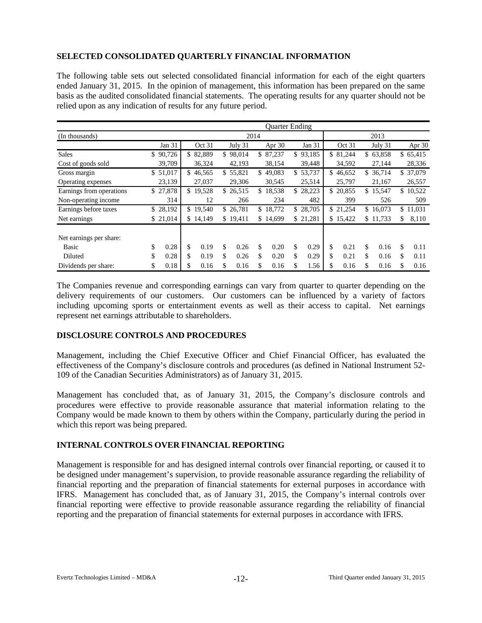# **SELECTED CONSOLIDATED QUARTERLY FINANCIAL INFORMATION**

The following table sets out selected consolidated financial information for each of the eight quarters ended January 31, 2015. In the opinion of management, this information has been prepared on the same basis as the audited consolidated financial statements. The operating results for any quarter should not be relied upon as any indication of results for any future period.

|                          |            |     |          |    |           |      | <b>Ouarter Ending</b> |            |    |          |              |              |
|--------------------------|------------|-----|----------|----|-----------|------|-----------------------|------------|----|----------|--------------|--------------|
| (In thousands)           |            |     |          |    |           | 2014 |                       |            |    |          | 2013         |              |
|                          | Jan $31$   |     | Oct 31   |    | July 31   |      | Apr 30                | Jan $31$   |    | Oct 31   | July 31      | Apr 30       |
| <b>Sales</b>             | \$90,726   |     | \$82,889 |    | \$98,014  |      | \$87,237              | \$93,185   |    | \$81,244 | \$63,858     | \$65,415     |
| Cost of goods sold       | 39,709     |     | 36,324   |    | 42,193    |      | 38,154                | 39,448     |    | 34,592   | 27,144       | 28,336       |
| Gross margin             | \$51,017   |     | \$46,565 |    | \$55,821  |      | \$49,083              | \$53,737   |    | \$46,652 | \$36,714     | \$ 37,079    |
| Operating expenses       | 23,139     |     | 27,037   |    | 29,306    |      | 30,545                | 25,514     |    | 25,797   | 21,167       | 26,557       |
| Earnings from operations | \$27,878   | \$. | 19,528   |    | \$ 26,515 |      | \$18,538              | \$28,223   |    | \$20,855 | \$<br>15,547 | \$<br>10,522 |
| Non-operating income     | 314        |     | 12       |    | 266       |      | 234                   | 482        |    | 399      | 526          | 509          |
| Earnings before taxes    | \$28,192   |     | \$19,540 |    | \$26,781  |      | \$18,772              | \$28,705   |    | \$21,254 | \$<br>16,073 | \$<br>11,031 |
| Net earnings             | \$21,014   |     | \$14,149 |    | \$19,411  |      | \$14,699              | \$21,281   |    | \$15,422 | \$11,733     | \$<br>8,110  |
| Net earnings per share:  |            |     |          |    |           |      |                       |            |    |          |              |              |
| <b>Basic</b>             | \$<br>0.28 | \$  | 0.19     | \$ | 0.26      | \$   | 0.20                  | \$<br>0.29 | \$ | 0.21     | \$<br>0.16   | \$<br>0.11   |
| Diluted                  | \$<br>0.28 | \$  | 0.19     | \$ | 0.26      | \$   | 0.20                  | \$<br>0.29 | \$ | 0.21     | \$<br>0.16   | \$<br>0.11   |
| Dividends per share:     | \$<br>0.18 | \$  | 0.16     | S  | 0.16      | S    | 0.16                  | \$<br>1.56 | S  | 0.16     | \$<br>0.16   | \$<br>0.16   |

The Companies revenue and corresponding earnings can vary from quarter to quarter depending on the delivery requirements of our customers. Our customers can be influenced by a variety of factors including upcoming sports or entertainment events as well as their access to capital. Net earnings represent net earnings attributable to shareholders.

## **DISCLOSURE CONTROLS AND PROCEDURES**

Management, including the Chief Executive Officer and Chief Financial Officer, has evaluated the effectiveness of the Company's disclosure controls and procedures (as defined in National Instrument 52- 109 of the Canadian Securities Administrators) as of January 31, 2015.

Management has concluded that, as of January 31, 2015, the Company's disclosure controls and procedures were effective to provide reasonable assurance that material information relating to the Company would be made known to them by others within the Company, particularly during the period in which this report was being prepared.

## **INTERNAL CONTROLS OVER FINANCIAL REPORTING**

Management is responsible for and has designed internal controls over financial reporting, or caused it to be designed under management's supervision, to provide reasonable assurance regarding the reliability of financial reporting and the preparation of financial statements for external purposes in accordance with IFRS. Management has concluded that, as of January 31, 2015, the Company's internal controls over financial reporting were effective to provide reasonable assurance regarding the reliability of financial reporting and the preparation of financial statements for external purposes in accordance with IFRS.